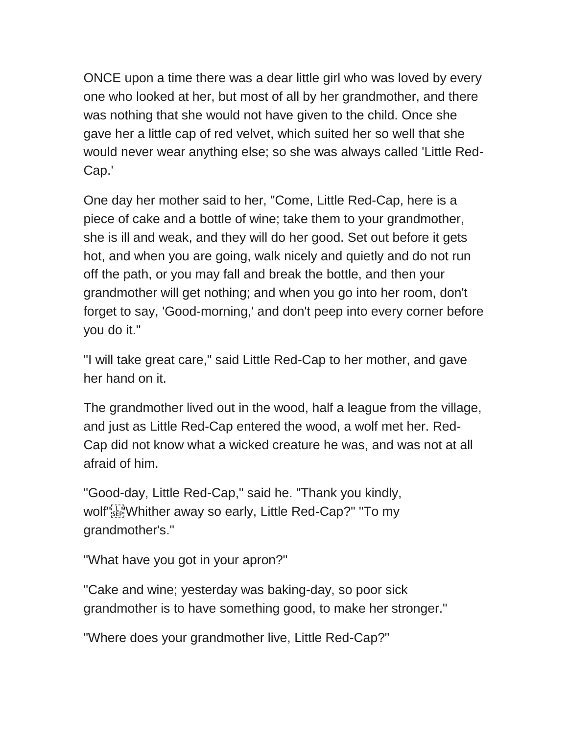ONCE upon a time there was a dear little girl who was loved by every one who looked at her, but most of all by her grandmother, and there was nothing that she would not have given to the child. Once she gave her a little cap of red velvet, which suited her so well that she would never wear anything else; so she was always called 'Little Red-Cap.'

One day her mother said to her, "Come, Little Red-Cap, here is a piece of cake and a bottle of wine; take them to your grandmother, she is ill and weak, and they will do her good. Set out before it gets hot, and when you are going, walk nicely and quietly and do not run off the path, or you may fall and break the bottle, and then your grandmother will get nothing; and when you go into her room, don't forget to say, 'Good-morning,' and don't peep into every corner before you do it."

"I will take great care," said Little Red-Cap to her mother, and gave her hand on it.

The grandmother lived out in the wood, half a league from the village, and just as Little Red-Cap entered the wood, a wolf met her. Red-Cap did not know what a wicked creature he was, and was not at all afraid of him.

"Good-day, Little Red-Cap," said he. "Thank you kindly, wolf"<sup>[1]</sup><sub>"SEP</sub> Whither away so early, Little Red-Cap?" "To my grandmother's."

"What have you got in your apron?"

"Cake and wine; yesterday was baking-day, so poor sick grandmother is to have something good, to make her stronger."

"Where does your grandmother live, Little Red-Cap?"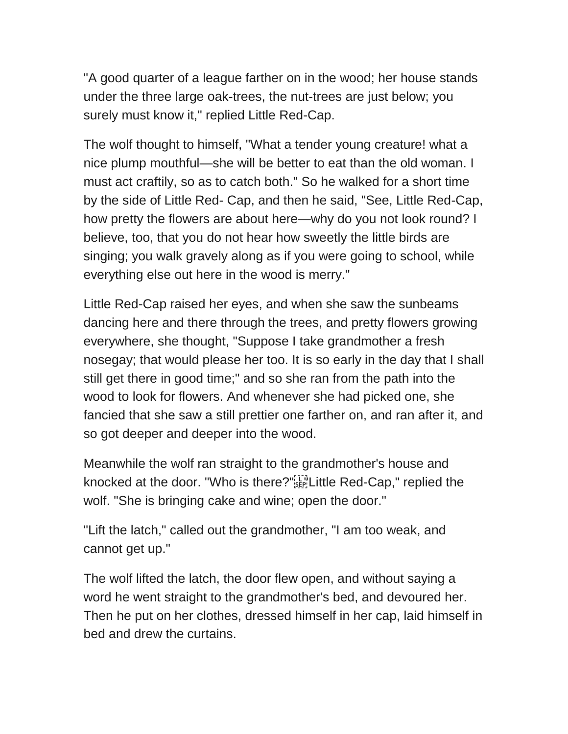"A good quarter of a league farther on in the wood; her house stands under the three large oak-trees, the nut-trees are just below; you surely must know it," replied Little Red-Cap.

The wolf thought to himself, "What a tender young creature! what a nice plump mouthful—she will be better to eat than the old woman. I must act craftily, so as to catch both." So he walked for a short time by the side of Little Red- Cap, and then he said, "See, Little Red-Cap, how pretty the flowers are about here—why do you not look round? I believe, too, that you do not hear how sweetly the little birds are singing; you walk gravely along as if you were going to school, while everything else out here in the wood is merry."

Little Red-Cap raised her eyes, and when she saw the sunbeams dancing here and there through the trees, and pretty flowers growing everywhere, she thought, "Suppose I take grandmother a fresh nosegay; that would please her too. It is so early in the day that I shall still get there in good time;" and so she ran from the path into the wood to look for flowers. And whenever she had picked one, she fancied that she saw a still prettier one farther on, and ran after it, and so got deeper and deeper into the wood.

Meanwhile the wolf ran straight to the grandmother's house and knocked at the door. "Who is there?"<sup>[17]</sup> Little Red-Cap," replied the wolf. "She is bringing cake and wine; open the door."

"Lift the latch," called out the grandmother, "I am too weak, and cannot get up."

The wolf lifted the latch, the door flew open, and without saying a word he went straight to the grandmother's bed, and devoured her. Then he put on her clothes, dressed himself in her cap, laid himself in bed and drew the curtains.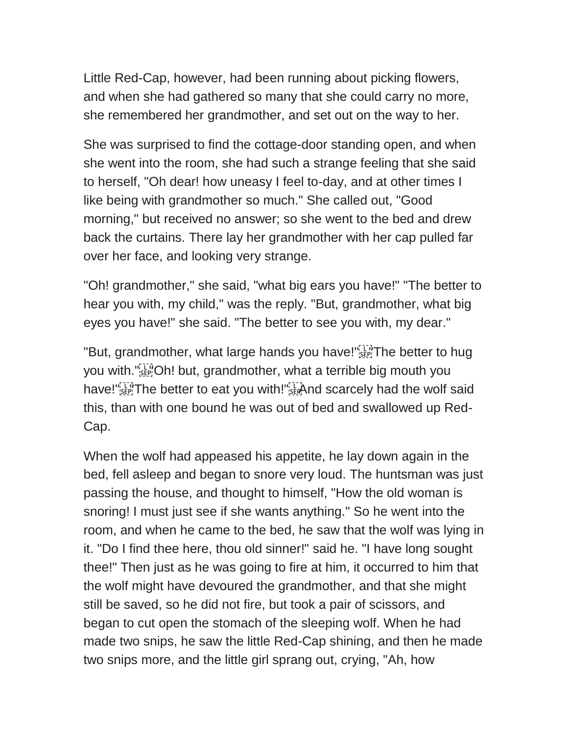Little Red-Cap, however, had been running about picking flowers, and when she had gathered so many that she could carry no more, she remembered her grandmother, and set out on the way to her.

She was surprised to find the cottage-door standing open, and when she went into the room, she had such a strange feeling that she said to herself, "Oh dear! how uneasy I feel to-day, and at other times I like being with grandmother so much." She called out, "Good morning," but received no answer; so she went to the bed and drew back the curtains. There lay her grandmother with her cap pulled far over her face, and looking very strange.

"Oh! grandmother," she said, "what big ears you have!" "The better to hear you with, my child," was the reply. "But, grandmother, what big eyes you have!" she said. "The better to see you with, my dear."

"But, grandmother, what large hands you have!"<sup>[[7]</sup>The better to hug you with. " $\sum_{s \in P}$  Oh! but, grandmother, what a terrible big mouth you have!"<sup>[Th</sup>]The better to eat you with!"<sup>[Th</sup>]And scarcely had the wolf said this, than with one bound he was out of bed and swallowed up Red-Cap.

When the wolf had appeased his appetite, he lay down again in the bed, fell asleep and began to snore very loud. The huntsman was just passing the house, and thought to himself, "How the old woman is snoring! I must just see if she wants anything." So he went into the room, and when he came to the bed, he saw that the wolf was lying in it. "Do I find thee here, thou old sinner!" said he. "I have long sought thee!" Then just as he was going to fire at him, it occurred to him that the wolf might have devoured the grandmother, and that she might still be saved, so he did not fire, but took a pair of scissors, and began to cut open the stomach of the sleeping wolf. When he had made two snips, he saw the little Red-Cap shining, and then he made two snips more, and the little girl sprang out, crying, "Ah, how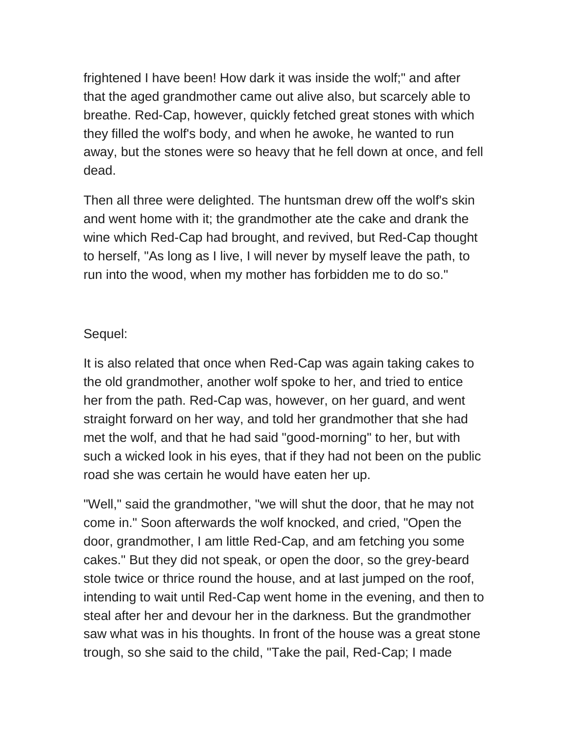frightened I have been! How dark it was inside the wolf;" and after that the aged grandmother came out alive also, but scarcely able to breathe. Red-Cap, however, quickly fetched great stones with which they filled the wolf's body, and when he awoke, he wanted to run away, but the stones were so heavy that he fell down at once, and fell dead.

Then all three were delighted. The huntsman drew off the wolf's skin and went home with it; the grandmother ate the cake and drank the wine which Red-Cap had brought, and revived, but Red-Cap thought to herself, "As long as I live, I will never by myself leave the path, to run into the wood, when my mother has forbidden me to do so."

## Sequel:

It is also related that once when Red-Cap was again taking cakes to the old grandmother, another wolf spoke to her, and tried to entice her from the path. Red-Cap was, however, on her guard, and went straight forward on her way, and told her grandmother that she had met the wolf, and that he had said "good-morning" to her, but with such a wicked look in his eyes, that if they had not been on the public road she was certain he would have eaten her up.

"Well," said the grandmother, "we will shut the door, that he may not come in." Soon afterwards the wolf knocked, and cried, "Open the door, grandmother, I am little Red-Cap, and am fetching you some cakes." But they did not speak, or open the door, so the grey-beard stole twice or thrice round the house, and at last jumped on the roof, intending to wait until Red-Cap went home in the evening, and then to steal after her and devour her in the darkness. But the grandmother saw what was in his thoughts. In front of the house was a great stone trough, so she said to the child, "Take the pail, Red-Cap; I made